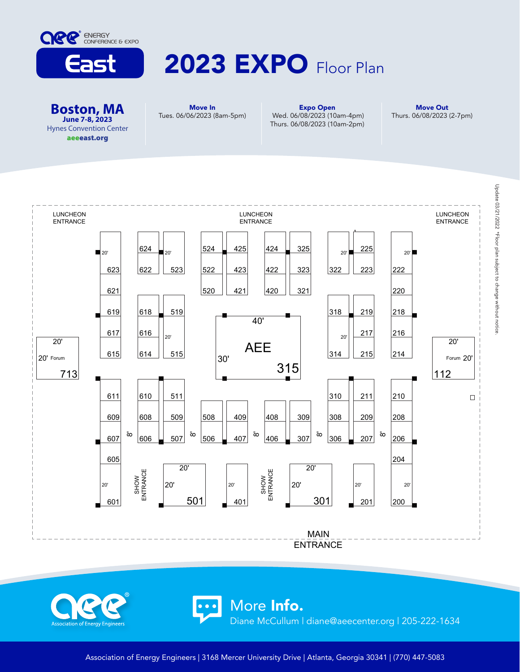

## 2023 EXPO Floor Plan

**Boston, MA June 7-8, 2023** Hynes Convention Center aeeeast.org

ociation of Energy Engineer

Move In Tues. 06/06/2023 (8am-5pm)

Expo Open Wed. 06/08/2023 (10am-4pm) Thurs. 06/08/2023 (10am-2pm)

Move Out Thurs. 06/08/2023 (2-7pm)



More Info.

Diane McCullum | diane@aeecenter.org | 205-222-1634